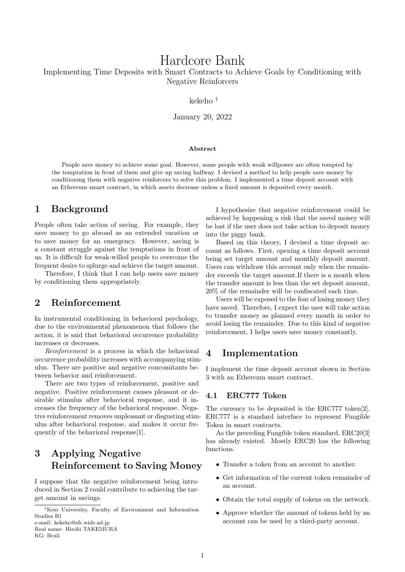# Hardcore Bank

Implementing Time Deposits with Smart Contracts to Achieve Goals by Conditioning with Negative Reinforcers

kekeho †

January 20, 2022

#### **Abstract**

People save money to achieve some goal. However, some people with weak willpower are often tempted by the temptation in front of them and give up saving halfway. I devised a method to help people save money by conditioning them with negative reinforcers to solve this problem. I implemented a time deposit account with an Ethereum smart contract, in which assets decrease unless a fixed amount is deposited every month.

# **1 Background**

People often take action of saving. For example, they save money to go abroad as an extended vacation or to save money for an emergency. However, saving is a constant struggle against the temptations in front of us. It is difficult for weak-willed people to overcome the frequent desire to splurge and achieve the target amount.

Therefore, I think that I can help users save money by conditioning them appropriately.

# **2 Reinforcement**

In instrumental conditioning in behavioral psychology, due to the environmental phenomenon that follows the action, it is said that behavioral occurrence probability increases or decreases.

*Reinforcement* is a process in which the behavioral occurrence probability increases with accompanying stimulus. There are positive and negative concomitants between behavior and reinforcement.

There are two types of reinforcement, positive and negative. Positive reinforcement causes pleasant or desirable stimulus after behavioral response, and it increases the frequency of the behavioral response. Negative reinforcement removes unpleasant or disgusting stimulus after behavioral response, and makes it occur frequently of the behavioral response[1].

# **3 Applying Negative Reinforcement to Saving Money**

I suppose that the negative reinforcement being introduced in Section 2 could contribute to achieving the target amount in savings.

Real name: Hiroki TAKEMURA KG: Bcali

I hypothesize that negative reinforcement could be achieved by happening a risk that the saved money will be lost if the user does not take action to deposit money into the piggy bank.

Based on this theory, I devised a time deposit account as follows. First, opening a time deposit account being set target amount and monthly deposit amount. Users can withdraw this account only when the remainder exceeds the target amount.If there is a month when the transfer amount is less than the set deposit amount, 20% of the remainder will be confiscated each time.

Users will be exposed to the fear of losing money they have saved. Therefore, I expect the user will take action to transfer money as planned every month in order to avoid losing the remainder. Due to this kind of negative reinforcement, I helps users save money constantly.

# **4 Implementation**

I implement the time deposit account shown in Section 3 with an Ethereum smart contract.

### **4.1 ERC777 Token**

The currency to be deposited is the ERC777 token[2]. ERC777 is a standard interface to represent Fungible Token in smart contracts.

As the preceding Fungible token standard, ERC20[3] has already existed. Mostly ERC20 has the following functions.

- Transfer a token from an account to another.
- Get information of the current token remainder of an account.
- Obtain the total supply of tokens on the network.
- Approve whether the amount of tokens held by an account can be used by a third-party account.

<sup>†</sup>Keio University, Faculty of Environment and Information Studies B1 e-mail: kekeho@sfc.wide.ad.jp